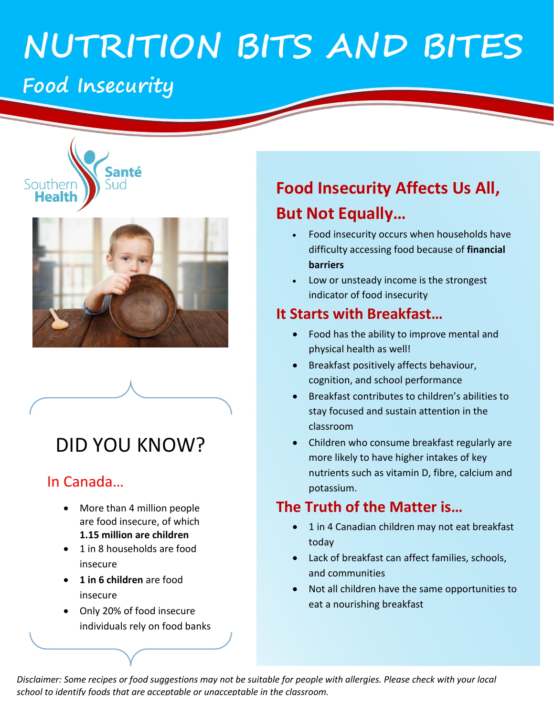# **NUTRITION BITS AND BITES**

## **Food Insecurity**

Southern



Santé

הוה

## DID YOU KNOW?

#### In Canada…

- More than 4 million people are food insecure, of which **1.15 million are children**
- 1 in 8 households are food insecure
- **1 in 6 children** are food insecure
- Only 20% of food insecure individuals rely on food banks

### **Food Insecurity Affects Us All,**

#### **But Not Equally…**

- Food insecurity occurs when households have difficulty accessing food because of **financial barriers**
- Low or unsteady income is the strongest indicator of food insecurity

#### **It Starts with Breakfast…**

- Food has the ability to improve mental and physical health as well!
- Breakfast positively affects behaviour, cognition, and school performance
- Breakfast contributes to children's abilities to stay focused and sustain attention in the classroom
- Children who consume breakfast regularly are more likely to have higher intakes of key nutrients such as vitamin D, fibre, calcium and potassium.

#### **The Truth of the Matter is…**

- 1 in 4 Canadian children may not eat breakfast today
- Lack of breakfast can affect families, schools, and communities
- Not all children have the same opportunities to eat a nourishing breakfast

*Disclaimer: Some recipes or food suggestions may not be suitable for people with allergies. Please check with your local school to identify foods that are acceptable or unacceptable in the classroom.*